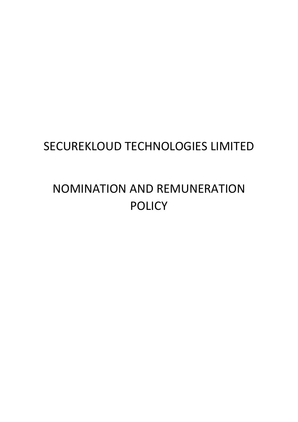# SECUREKLOUD TECHNOLOGIES LIMITED

# NOMINATION AND REMUNERATION POLICY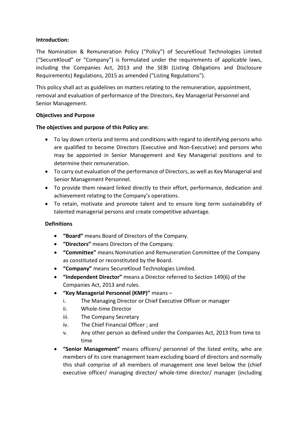#### **Introduction:**

The Nomination & Remuneration Policy ("Policy") of SecureKloud Technologies Limited ("SecureKloud" or "Company") is formulated under the requirements of applicable laws, including the Companies Act, 2013 and the SEBI (Listing Obligations and Disclosure Requirements) Regulations, 2015 as amended ("Listing Regulations").

This policy shall act as guidelines on matters relating to the remuneration, appointment, removal and evaluation of performance of the Directors, Key Managerial Personnel and Senior Management.

#### **Objectives and Purpose**

#### **The objectives and purpose of this Policy are:**

- To lay down criteria and terms and conditions with regard to identifying persons who are qualified to become Directors (Executive and Non-Executive) and persons who may be appointed in Senior Management and Key Managerial positions and to determine their remuneration.
- To carry out evaluation of the performance of Directors, as well as Key Managerial and Senior Management Personnel.
- To provide them reward linked directly to their effort, performance, dedication and achievement relating to the Company's operations.
- To retain, motivate and promote talent and to ensure long term sustainability of talented managerial persons and create competitive advantage.

#### **Definitions**

- **"Board"** means Board of Directors of the Company.
- **"Directors"** means Directors of the Company.
- **"Committee"** means Nomination and Remuneration Committee of the Company as constituted or reconstituted by the Board.
- **"Company"** means SecureKloud Technologies Limited.
- **"Independent Director"** means a Director referred to Section 149(6) of the Companies Act, 2013 and rules.
- **"Key Managerial Personnel (KMP)"** means
	- i. The Managing Director or Chief Executive Officer or manager
	- ii. Whole-time Director
	- iii. The Company Secretary
	- iv. The Chief Financial Officer ; and
	- v. Any other person as defined under the Companies Act, 2013 from time to time
- **"Senior Management"** means officers/ personnel of the listed entity, who are members of its core management team excluding board of directors and normally this shall comprise of all members of management one level below the (chief executive officer/ managing director/ whole-time director/ manager (including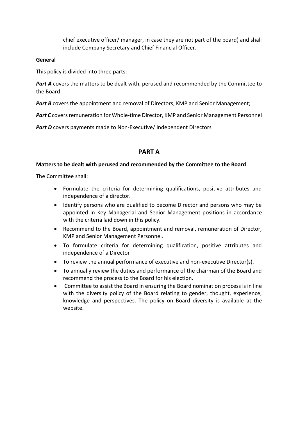chief executive officer/ manager, in case they are not part of the board) and shall include Company Secretary and Chief Financial Officer.

#### **General**

This policy is divided into three parts:

**Part A** covers the matters to be dealt with, perused and recommended by the Committee to the Board

**Part B** covers the appointment and removal of Directors, KMP and Senior Management;

Part C covers remuneration for Whole-time Director, KMP and Senior Management Personnel

**Part D** covers payments made to Non-Executive/ Independent Directors

### **PART A**

#### **Matters to be dealt with perused and recommended by the Committee to the Board**

The Committee shall:

- Formulate the criteria for determining qualifications, positive attributes and independence of a director.
- Identify persons who are qualified to become Director and persons who may be appointed in Key Managerial and Senior Management positions in accordance with the criteria laid down in this policy.
- Recommend to the Board, appointment and removal, remuneration of Director, KMP and Senior Management Personnel.
- To formulate criteria for determining qualification, positive attributes and independence of a Director
- To review the annual performance of executive and non-executive Director(s).
- To annually review the duties and performance of the chairman of the Board and recommend the process to the Board for his election.
- Committee to assist the Board in ensuring the Board nomination process is in line with the diversity policy of the Board relating to gender, thought, experience, knowledge and perspectives. The policy on Board diversity is available at the website.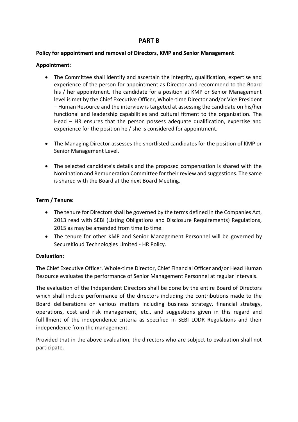## **PART B**

#### **Policy for appointment and removal of Directors, KMP and Senior Management**

#### **Appointment:**

- The Committee shall identify and ascertain the integrity, qualification, expertise and experience of the person for appointment as Director and recommend to the Board his / her appointment. The candidate for a position at KMP or Senior Management level is met by the Chief Executive Officer, Whole-time Director and/or Vice President – Human Resource and the interview is targeted at assessing the candidate on his/her functional and leadership capabilities and cultural fitment to the organization. The Head – HR ensures that the person possess adequate qualification, expertise and experience for the position he / she is considered for appointment.
- The Managing Director assesses the shortlisted candidates for the position of KMP or Senior Management Level.
- The selected candidate's details and the proposed compensation is shared with the Nomination and Remuneration Committee for their review and suggestions. The same is shared with the Board at the next Board Meeting.

#### **Term / Tenure:**

- The tenure for Directors shall be governed by the terms defined in the Companies Act, 2013 read with SEBI (Listing Obligations and Disclosure Requirements) Regulations, 2015 as may be amended from time to time.
- The tenure for other KMP and Senior Management Personnel will be governed by SecureKloud Technologies Limited - HR Policy.

#### **Evaluation:**

The Chief Executive Officer, Whole-time Director, Chief Financial Officer and/or Head Human Resource evaluates the performance of Senior Management Personnel at regular intervals.

The evaluation of the Independent Directors shall be done by the entire Board of Directors which shall include performance of the directors including the contributions made to the Board deliberations on various matters including business strategy, financial strategy, operations, cost and risk management, etc., and suggestions given in this regard and fulfillment of the independence criteria as specified in SEBI LODR Regulations and their independence from the management.

Provided that in the above evaluation, the directors who are subject to evaluation shall not participate.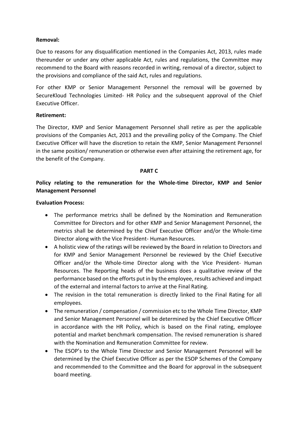#### **Removal:**

Due to reasons for any disqualification mentioned in the Companies Act, 2013, rules made thereunder or under any other applicable Act, rules and regulations, the Committee may recommend to the Board with reasons recorded in writing, removal of a director, subject to the provisions and compliance of the said Act, rules and regulations.

For other KMP or Senior Management Personnel the removal will be governed by SecureKloud Technologies Limited- HR Policy and the subsequent approval of the Chief Executive Officer.

#### **Retirement:**

The Director, KMP and Senior Management Personnel shall retire as per the applicable provisions of the Companies Act, 2013 and the prevailing policy of the Company. The Chief Executive Officer will have the discretion to retain the KMP, Senior Management Personnel in the same position/ remuneration or otherwise even after attaining the retirement age, for the benefit of the Company.

#### **PART C**

**Policy relating to the remuneration for the Whole-time Director, KMP and Senior Management Personnel**

#### **Evaluation Process:**

- The performance metrics shall be defined by the Nomination and Remuneration Committee for Directors and for other KMP and Senior Management Personnel, the metrics shall be determined by the Chief Executive Officer and/or the Whole-time Director along with the Vice President- Human Resources.
- A holistic view of the ratings will be reviewed by the Board in relation to Directors and for KMP and Senior Management Personnel be reviewed by the Chief Executive Officer and/or the Whole-time Director along with the Vice President- Human Resources. The Reporting heads of the business does a qualitative review of the performance based on the efforts put in by the employee, results achieved and impact of the external and internal factors to arrive at the Final Rating.
- The revision in the total remuneration is directly linked to the Final Rating for all employees.
- The remuneration / compensation / commission etc to the Whole Time Director, KMP and Senior Management Personnel will be determined by the Chief Executive Officer in accordance with the HR Policy, which is based on the Final rating, employee potential and market benchmark compensation. The revised remuneration is shared with the Nomination and Remuneration Committee for review.
- The ESOP's to the Whole Time Director and Senior Management Personnel will be determined by the Chief Executive Officer as per the ESOP Schemes of the Company and recommended to the Committee and the Board for approval in the subsequent board meeting.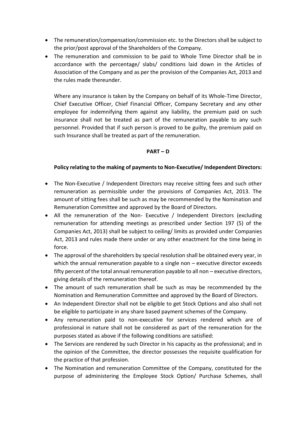- The remuneration/compensation/commission etc. to the Directors shall be subject to the prior/post approval of the Shareholders of the Company.
- The remuneration and commission to be paid to Whole Time Director shall be in accordance with the percentage/ slabs/ conditions laid down in the Articles of Association of the Company and as per the provision of the Companies Act, 2013 and the rules made thereunder.

Where any insurance is taken by the Company on behalf of its Whole-Time Director, Chief Executive Officer, Chief Financial Officer, Company Secretary and any other employee for indemnifying them against any liability, the premium paid on such insurance shall not be treated as part of the remuneration payable to any such personnel. Provided that if such person is proved to be guilty, the premium paid on such Insurance shall be treated as part of the remuneration.

#### **PART – D**

#### **Policy relating to the making of payments to Non-Executive/ Independent Directors:**

- The Non-Executive / Independent Directors may receive sitting fees and such other remuneration as permissible under the provisions of Companies Act, 2013. The amount of sitting fees shall be such as may be recommended by the Nomination and Remuneration Committee and approved by the Board of Directors.
- All the remuneration of the Non- Executive / Independent Directors (excluding remuneration for attending meetings as prescribed under Section 197 (5) of the Companies Act, 2013) shall be subject to ceiling/ limits as provided under Companies Act, 2013 and rules made there under or any other enactment for the time being in force.
- The approval of the shareholders by special resolution shall be obtained every year, in which the annual remuneration payable to a single non – executive director exceeds fifty percent of the total annual remuneration payable to all non – executive directors, giving details of the remuneration thereof.
- The amount of such remuneration shall be such as may be recommended by the Nomination and Remuneration Committee and approved by the Board of Directors.
- An Independent Director shall not be eligible to get Stock Options and also shall not be eligible to participate in any share based payment schemes of the Company.
- Any remuneration paid to non-executive for services rendered which are of professional in nature shall not be considered as part of the remuneration for the purposes stated as above if the following conditions are satisfied:
- The Services are rendered by such Director in his capacity as the professional; and in the opinion of the Committee, the director possesses the requisite qualification for the practice of that profession.
- The Nomination and remuneration Committee of the Company, constituted for the purpose of administering the Employee Stock Option/ Purchase Schemes, shall